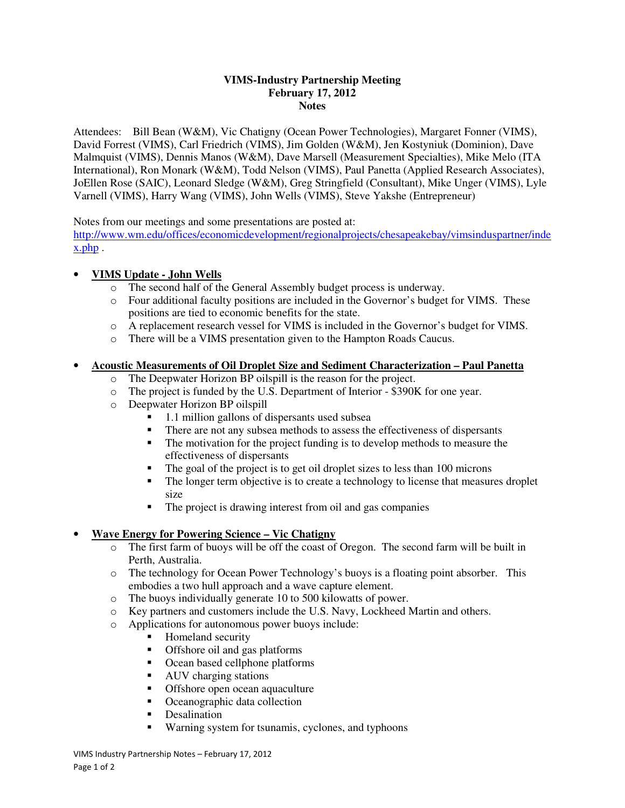#### **VIMS-Industry Partnership Meeting February 17, 2012 Notes**

Attendees: Bill Bean (W&M), Vic Chatigny (Ocean Power Technologies), Margaret Fonner (VIMS), David Forrest (VIMS), Carl Friedrich (VIMS), Jim Golden (W&M), Jen Kostyniuk (Dominion), Dave Malmquist (VIMS), Dennis Manos (W&M), Dave Marsell (Measurement Specialties), Mike Melo (ITA International), Ron Monark (W&M), Todd Nelson (VIMS), Paul Panetta (Applied Research Associates), JoEllen Rose (SAIC), Leonard Sledge (W&M), Greg Stringfield (Consultant), Mike Unger (VIMS), Lyle Varnell (VIMS), Harry Wang (VIMS), John Wells (VIMS), Steve Yakshe (Entrepreneur)

Notes from our meetings and some presentations are posted at:

http://www.wm.edu/offices/economicdevelopment/regionalprojects/chesapeakebay/vimsinduspartner/inde x.php .

# • **VIMS Update - John Wells**

- o The second half of the General Assembly budget process is underway.
- o Four additional faculty positions are included in the Governor's budget for VIMS. These positions are tied to economic benefits for the state.
- o A replacement research vessel for VIMS is included in the Governor's budget for VIMS.
- o There will be a VIMS presentation given to the Hampton Roads Caucus.

### • **Acoustic Measurements of Oil Droplet Size and Sediment Characterization – Paul Panetta**

- o The Deepwater Horizon BP oilspill is the reason for the project.
- o The project is funded by the U.S. Department of Interior \$390K for one year.
- o Deepwater Horizon BP oilspill
	- 1.1 million gallons of dispersants used subsea
	- There are not any subsea methods to assess the effectiveness of dispersants
	- The motivation for the project funding is to develop methods to measure the effectiveness of dispersants
	- The goal of the project is to get oil droplet sizes to less than 100 microns
	- The longer term objective is to create a technology to license that measures droplet size
	- The project is drawing interest from oil and gas companies

## • **Wave Energy for Powering Science – Vic Chatigny**

- o The first farm of buoys will be off the coast of Oregon. The second farm will be built in Perth, Australia.
- o The technology for Ocean Power Technology's buoys is a floating point absorber. This embodies a two hull approach and a wave capture element.
- o The buoys individually generate 10 to 500 kilowatts of power.
- o Key partners and customers include the U.S. Navy, Lockheed Martin and others.
- o Applications for autonomous power buoys include:
	- **Homeland security**
	- Offshore oil and gas platforms
	- Ocean based cellphone platforms
	- AUV charging stations
	- **•** Offshore open ocean aquaculture
	- Oceanographic data collection
	- Desalination
	- Warning system for tsunamis, cyclones, and typhoons